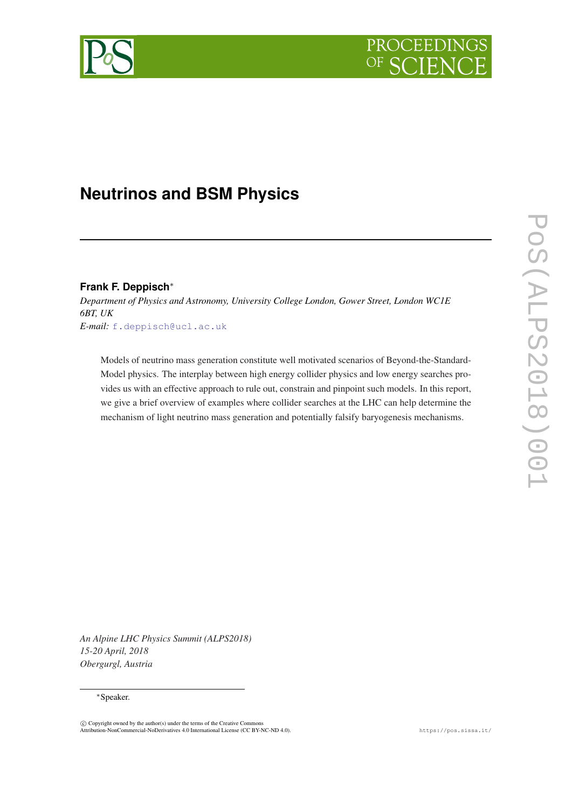

# **Neutrinos and BSM Physics**

# **Frank F. Deppisch**<sup>∗</sup>

*Department of Physics and Astronomy, University College London, Gower Street, London WC1E 6BT, UK E-mail:* [f.deppisch@ucl.ac.uk](mailto:f.deppisch@ucl.ac.uk)

Models of neutrino mass generation constitute well motivated scenarios of Beyond-the-Standard-Model physics. The interplay between high energy collider physics and low energy searches provides us with an effective approach to rule out, constrain and pinpoint such models. In this report, we give a brief overview of examples where collider searches at the LHC can help determine the mechanism of light neutrino mass generation and potentially falsify baryogenesis mechanisms.

*An Alpine LHC Physics Summit (ALPS2018) 15-20 April, 2018 Obergurgl, Austria*

#### <sup>∗</sup>Speaker.

 $\circled{c}$  Copyright owned by the author(s) under the terms of the Creative Commons Attribution-NonCommercial-NoDerivatives 4.0 International License (CC BY-NC-ND 4.0). https://pos.sissa.it/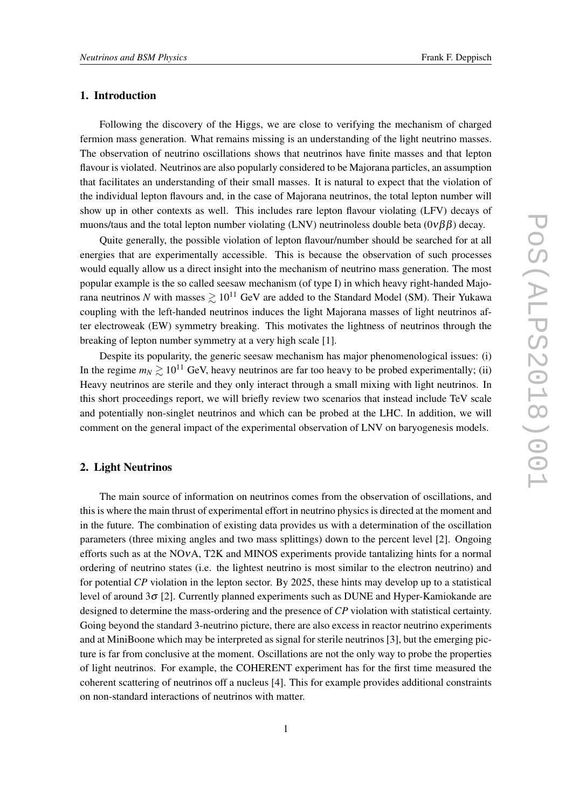# 1. Introduction

Following the discovery of the Higgs, we are close to verifying the mechanism of charged fermion mass generation. What remains missing is an understanding of the light neutrino masses. The observation of neutrino oscillations shows that neutrinos have finite masses and that lepton flavour is violated. Neutrinos are also popularly considered to be Majorana particles, an assumption that facilitates an understanding of their small masses. It is natural to expect that the violation of the individual lepton flavours and, in the case of Majorana neutrinos, the total lepton number will show up in other contexts as well. This includes rare lepton flavour violating (LFV) decays of muons/taus and the total lepton number violating (LNV) neutrinoless double beta  $(0\nu\beta\beta)$  decay.

Quite generally, the possible violation of lepton flavour/number should be searched for at all energies that are experimentally accessible. This is because the observation of such processes would equally allow us a direct insight into the mechanism of neutrino mass generation. The most popular example is the so called seesaw mechanism (of type I) in which heavy right-handed Majorana neutrinos *N* with masses  $\geq 10^{11}$  GeV are added to the Standard Model (SM). Their Yukawa coupling with the left-handed neutrinos induces the light Majorana masses of light neutrinos after electroweak (EW) symmetry breaking. This motivates the lightness of neutrinos through the breaking of lepton number symmetry at a very high scale [1].

Despite its popularity, the generic seesaw mechanism has major phenomenological issues: (i) In the regime  $m_N \geq 10^{11}$  GeV, heavy neutrinos are far too heavy to be probed experimentally; (ii) Heavy neutrinos are sterile and they only interact through a small mixing with light neutrinos. In this short proceedings report, we will briefly review two scenarios that instead include TeV scale and potentially non-singlet neutrinos and which can be probed at the LHC. In addition, we will comment on the general impact of the experimental observation of LNV on baryogenesis models.

#### 2. Light Neutrinos

The main source of information on neutrinos comes from the observation of oscillations, and this is where the main thrust of experimental effort in neutrino physics is directed at the moment and in the future. The combination of existing data provides us with a determination of the oscillation parameters (three mixing angles and two mass splittings) down to the percent level [2]. Ongoing efforts such as at the NOνA, T2K and MINOS experiments provide tantalizing hints for a normal ordering of neutrino states (i.e. the lightest neutrino is most similar to the electron neutrino) and for potential *CP* violation in the lepton sector. By 2025, these hints may develop up to a statistical level of around  $3\sigma$  [2]. Currently planned experiments such as DUNE and Hyper-Kamiokande are designed to determine the mass-ordering and the presence of *CP* violation with statistical certainty. Going beyond the standard 3-neutrino picture, there are also excess in reactor neutrino experiments and at MiniBoone which may be interpreted as signal for sterile neutrinos [3], but the emerging picture is far from conclusive at the moment. Oscillations are not the only way to probe the properties of light neutrinos. For example, the COHERENT experiment has for the first time measured the coherent scattering of neutrinos off a nucleus [4]. This for example provides additional constraints on non-standard interactions of neutrinos with matter.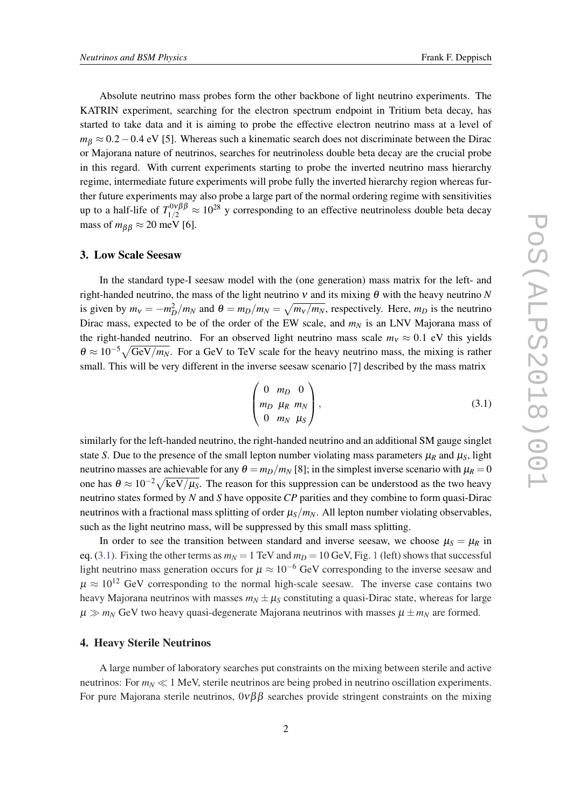Absolute neutrino mass probes form the other backbone of light neutrino experiments. The KATRIN experiment, searching for the electron spectrum endpoint in Tritium beta decay, has started to take data and it is aiming to probe the effective electron neutrino mass at a level of *m*<sup>β</sup> ≈ 0.2 − 0.4 eV [5]. Whereas such a kinematic search does not discriminate between the Dirac or Majorana nature of neutrinos, searches for neutrinoless double beta decay are the crucial probe in this regard. With current experiments starting to probe the inverted neutrino mass hierarchy regime, intermediate future experiments will probe fully the inverted hierarchy region whereas further future experiments may also probe a large part of the normal ordering regime with sensitivities up to a half-life of  $T_{1/2}^{0\nu\beta\beta} \approx 10^{28}$  y corresponding to an effective neutrinoless double beta decay mass of  $m_{\beta\beta} \approx 20$  meV [6].

#### 3. Low Scale Seesaw

In the standard type-I seesaw model with the (one generation) mass matrix for the left- and right-handed neutrino, the mass of the light neutrino  $v$  and its mixing  $\theta$  with the heavy neutrino *N* is given by  $m_v = -m_D^2/m_N$  and  $\theta = m_D/m_N = \sqrt{m_v/m_N}$ , respectively. Here,  $m_D$  is the neutrino Dirac mass, expected to be of the order of the EW scale, and  $m<sub>N</sub>$  is an LNV Majorana mass of the right-handed neutrino. For an observed light neutrino mass scale  $m<sub>v</sub> \approx 0.1$  eV this yields  $\theta \approx 10^{-5}\sqrt{\text{GeV}/m_N}$ . For a GeV to TeV scale for the heavy neutrino mass, the mixing is rather small. This will be very different in the inverse seesaw scenario [7] described by the mass matrix

$$
\begin{pmatrix} 0 & m_D & 0 \\ m_D & \mu_R & m_N \\ 0 & m_N & \mu_S \end{pmatrix}, \tag{3.1}
$$

similarly for the left-handed neutrino, the right-handed neutrino and an additional SM gauge singlet state *S*. Due to the presence of the small lepton number violating mass parameters  $\mu_R$  and  $\mu_S$ , light neutrino masses are achievable for any  $\theta = m_D/m_N$  [8]; in the simplest inverse scenario with  $\mu_R = 0$ one has  $\theta \approx 10^{-2}\sqrt{\text{keV}/\mu_s}$ . The reason for this suppression can be understood as the two heavy neutrino states formed by *N* and *S* have opposite *CP* parities and they combine to form quasi-Dirac neutrinos with a fractional mass splitting of order  $\mu_s/m_N$ . All lepton number violating observables, such as the light neutrino mass, will be suppressed by this small mass splitting.

In order to see the transition between standard and inverse seesaw, we choose  $\mu_S = \mu_R$  in eq. (3.[1](#page-3-0)). Fixing the other terms as  $m<sub>N</sub> = 1$  TeV and  $m<sub>D</sub> = 10$  GeV, Fig. 1 (left) shows that successful light neutrino mass generation occurs for  $\mu \approx 10^{-6}$  GeV corresponding to the inverse seesaw and  $\mu \approx 10^{12}$  GeV corresponding to the normal high-scale seesaw. The inverse case contains two heavy Majorana neutrinos with masses  $m_N \pm \mu_S$  constituting a quasi-Dirac state, whereas for large  $\mu \gg m_N$  GeV two heavy quasi-degenerate Majorana neutrinos with masses  $\mu \pm m_N$  are formed.

#### 4. Heavy Sterile Neutrinos

A large number of laboratory searches put constraints on the mixing between sterile and active neutrinos: For  $m_N \ll 1$  MeV, sterile neutrinos are being probed in neutrino oscillation experiments. For pure Majorana sterile neutrinos,  $0\nu\beta\beta$  searches provide stringent constraints on the mixing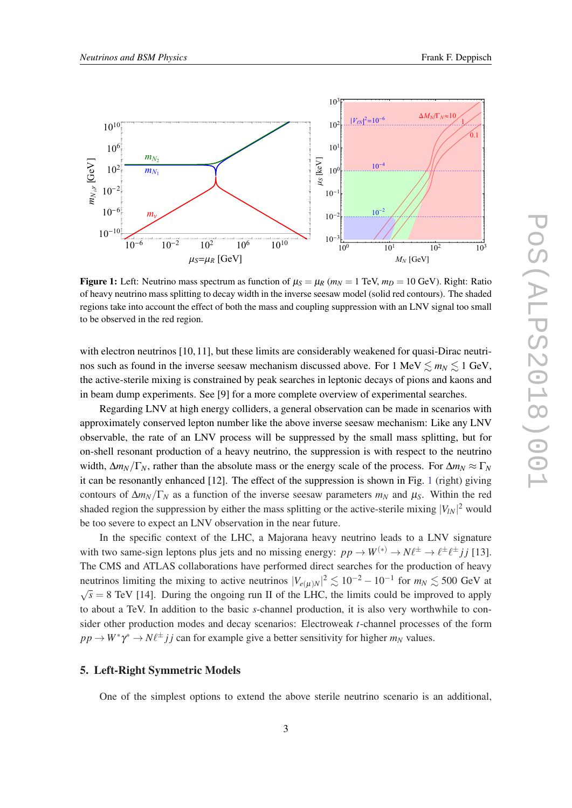<span id="page-3-0"></span>

Figure 1: Left: Neutrino mass spectrum as function of  $\mu_S = \mu_R$  ( $m_N = 1$  TeV,  $m_D = 10$  GeV). Right: Ratio of heavy neutrino mass splitting to decay width in the inverse seesaw model (solid red contours). The shaded regions take into account the effect of both the mass and coupling suppression with an LNV signal too small to be observed in the red region.

with electron neutrinos [10, 11], but these limits are considerably weakened for quasi-Dirac neutrinos such as found in the inverse seesaw mechanism discussed above. For 1 MeV  $\leq m_N \leq 1$  GeV, the active-sterile mixing is constrained by peak searches in leptonic decays of pions and kaons and in beam dump experiments. See [9] for a more complete overview of experimental searches.

Regarding LNV at high energy colliders, a general observation can be made in scenarios with approximately conserved lepton number like the above inverse seesaw mechanism: Like any LNV observable, the rate of an LNV process will be suppressed by the small mass splitting, but for on-shell resonant production of a heavy neutrino, the suppression is with respect to the neutrino width,  $\Delta m_N/\Gamma_N$ , rather than the absolute mass or the energy scale of the process. For  $\Delta m_N \approx \Gamma_N$ it can be resonantly enhanced [12]. The effect of the suppression is shown in Fig. 1 (right) giving contours of  $\Delta m_N/\Gamma_N$  as a function of the inverse seesaw parameters  $m_N$  and  $\mu_S$ . Within the red shaded region the suppression by either the mass splitting or the active-sterile mixing  $|V_{lN}|^2$  would be too severe to expect an LNV observation in the near future.

In the specific context of the LHC, a Majorana heavy neutrino leads to a LNV signature with two same-sign leptons plus jets and no missing energy:  $pp \to W^{(*)} \to N \ell^{\pm} \to \ell^{\pm} \ell^{\pm} j j$  [13]. The CMS and ATLAS collaborations have performed direct searches for the production of heavy neutrinos limiting the mixing to active neutrinos  $|V_{e(\mu)N}|^2 \lesssim 10^{-2} - 10^{-1}$  for  $m_N \lesssim 500$  GeV at  $\sqrt{s}$  = 8 TeV [14]. During the ongoing run II of the LHC, the limits could be improved to apply to about a TeV. In addition to the basic *s*-channel production, it is also very worthwhile to consider other production modes and decay scenarios: Electroweak *t*-channel processes of the form  $pp \to W^* \gamma^* \to N \ell^{\pm} j j$  can for example give a better sensitivity for higher  $m_N$  values.

# 5. Left-Right Symmetric Models

One of the simplest options to extend the above sterile neutrino scenario is an additional,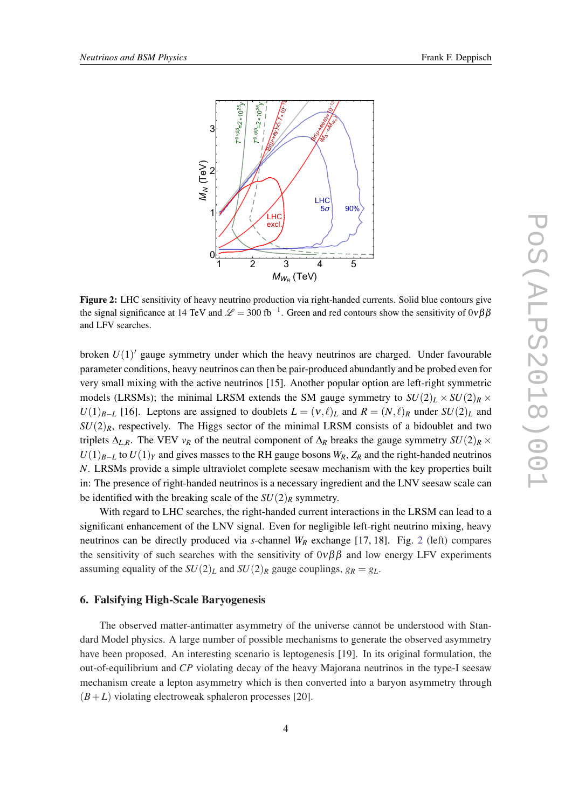

Figure 2: LHC sensitivity of heavy neutrino production via right-handed currents. Solid blue contours give the signal significance at 14 TeV and  $\mathcal{L} = 300$  fb<sup>-1</sup>. Green and red contours show the sensitivity of  $0\nu\beta\beta$ and LFV searches.

broken  $U(1)'$  gauge symmetry under which the heavy neutrinos are charged. Under favourable parameter conditions, heavy neutrinos can then be pair-produced abundantly and be probed even for very small mixing with the active neutrinos [15]. Another popular option are left-right symmetric models (LRSMs); the minimal LRSM extends the SM gauge symmetry to  $SU(2)_L \times SU(2)_R \times$ *U*(1)<sub>*B*−*L*</sub> [16]. Leptons are assigned to doublets  $L = (v, l)_L$  and  $R = (N, l)_R$  under  $SU(2)_L$  and  $SU(2)_R$ , respectively. The Higgs sector of the minimal LRSM consists of a bidoublet and two triplets  $\Delta_{L,R}$ . The VEV  $v_R$  of the neutral component of  $\Delta_R$  breaks the gauge symmetry  $SU(2)_R \times$ *U*(1)<sub>*B*−*L*</sub> to *U*(1)<sub>*Y*</sub> and gives masses to the RH gauge bosons *W<sub>R</sub>*, *Z<sub>R</sub>* and the right-handed neutrinos *N*. LRSMs provide a simple ultraviolet complete seesaw mechanism with the key properties built in: The presence of right-handed neutrinos is a necessary ingredient and the LNV seesaw scale can be identified with the breaking scale of the  $SU(2)_R$  symmetry.

With regard to LHC searches, the right-handed current interactions in the LRSM can lead to a significant enhancement of the LNV signal. Even for negligible left-right neutrino mixing, heavy neutrinos can be directly produced via *s*-channel *W<sup>R</sup>* exchange [17, 18]. Fig. 2 (left) compares the sensitivity of such searches with the sensitivity of  $0\nu\beta\beta$  and low energy LFV experiments assuming equality of the  $SU(2)_L$  and  $SU(2)_R$  gauge couplings,  $g_R = g_L$ .

### 6. Falsifying High-Scale Baryogenesis

The observed matter-antimatter asymmetry of the universe cannot be understood with Standard Model physics. A large number of possible mechanisms to generate the observed asymmetry have been proposed. An interesting scenario is leptogenesis [19]. In its original formulation, the out-of-equilibrium and *CP* violating decay of the heavy Majorana neutrinos in the type-I seesaw mechanism create a lepton asymmetry which is then converted into a baryon asymmetry through  $(B+L)$  violating electroweak sphaleron processes [20].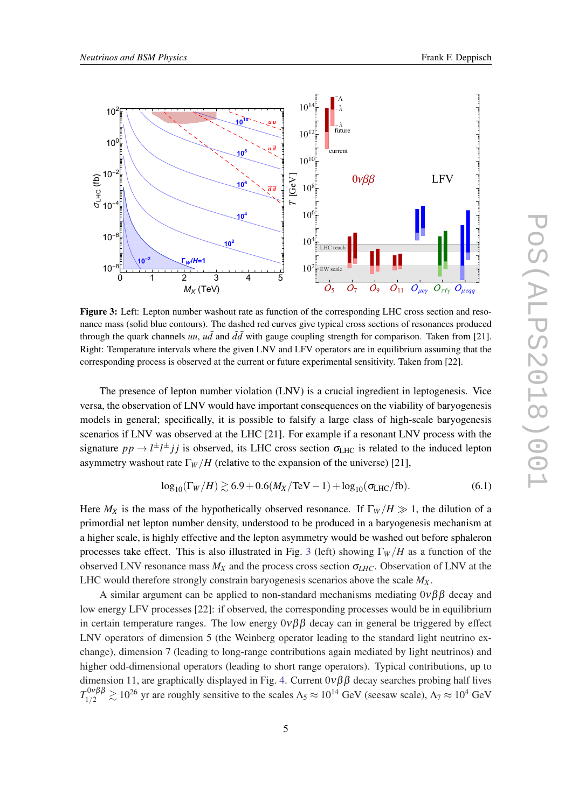<span id="page-5-0"></span>

Figure 3: Left: Lepton number washout rate as function of the corresponding LHC cross section and resonance mass (solid blue contours). The dashed red curves give typical cross sections of resonances produced through the quark channels *uu*, *ud* and  $d\bar{d}$  with gauge coupling strength for comparison. Taken from [21]. Right: Temperature intervals where the given LNV and LFV operators are in equilibrium assuming that the corresponding process is observed at the current or future experimental sensitivity. Taken from [22].

The presence of lepton number violation (LNV) is a crucial ingredient in leptogenesis. Vice versa, the observation of LNV would have important consequences on the viability of baryogenesis models in general; specifically, it is possible to falsify a large class of high-scale baryogenesis scenarios if LNV was observed at the LHC [21]. For example if a resonant LNV process with the signature  $pp \to l^{\pm}l^{\pm}jj$  is observed, its LHC cross section  $\sigma_{LHC}$  is related to the induced lepton asymmetry washout rate  $\Gamma_W/H$  (relative to the expansion of the universe) [21],

$$
\log_{10}(\Gamma_W/H) \gtrsim 6.9 + 0.6(M_X/\text{TeV} - 1) + \log_{10}(\sigma_{\text{LHC}}/\text{fb}).\tag{6.1}
$$

Here  $M_X$  is the mass of the hypothetically observed resonance. If  $\Gamma_W/H \gg 1$ , the dilution of a primordial net lepton number density, understood to be produced in a baryogenesis mechanism at a higher scale, is highly effective and the lepton asymmetry would be washed out before sphaleron processes take effect. This is also illustrated in Fig. 3 (left) showing Γ*<sup>W</sup>* /*H* as a function of the observed LNV resonance mass  $M_X$  and the process cross section  $\sigma_{LHC}$ . Observation of LNV at the LHC would therefore strongly constrain baryogenesis scenarios above the scale *M<sup>X</sup>* .

A similar argument can be applied to non-standard mechanisms mediating  $0\nu\beta\beta$  decay and low energy LFV processes [22]: if observed, the corresponding processes would be in equilibrium in certain temperature ranges. The low energy  $0\nu\beta\beta$  decay can in general be triggered by effect LNV operators of dimension 5 (the Weinberg operator leading to the standard light neutrino exchange), dimension 7 (leading to long-range contributions again mediated by light neutrinos) and higher odd-dimensional operators (leading to short range operators). Typical contributions, up to dimension 11, are graphically displayed in Fig. [4](#page-6-0). Current  $0\nu\beta\beta$  decay searches probing half lives  $T_{1/2}^{0\nu\beta\beta} \gtrsim 10^{26}$  yr are roughly sensitive to the scales  $\Lambda_5 \approx 10^{14}$  GeV (seesaw scale),  $\Lambda_7 \approx 10^4$  GeV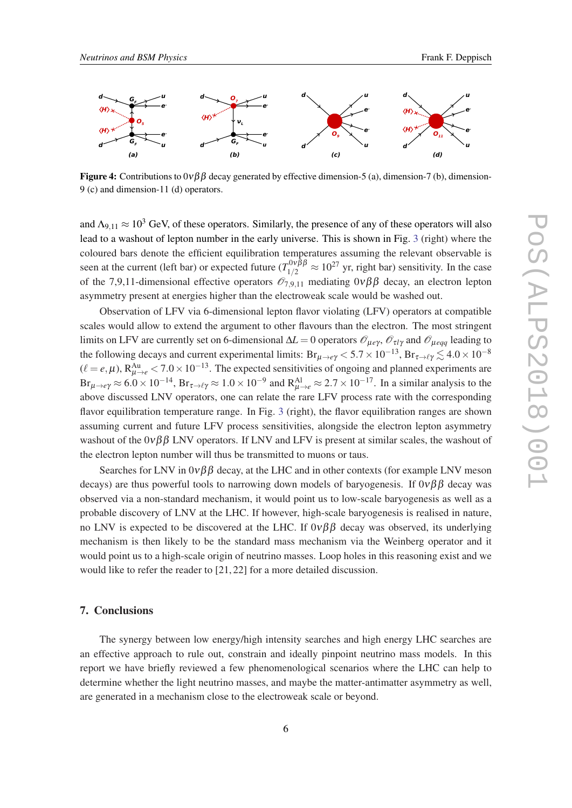<span id="page-6-0"></span>

**Figure 4:** Contributions to  $0\nu\beta\beta$  decay generated by effective dimension-5 (a), dimension-7 (b), dimension-9 (c) and dimension-11 (d) operators.

and  $\Lambda_{9,11} \approx 10^3$  GeV, of these operators. Similarly, the presence of any of these operators will also lead to a washout of lepton number in the early universe. This is shown in Fig. [3](#page-5-0) (right) where the coloured bars denote the efficient equilibration temperatures assuming the relevant observable is seen at the current (left bar) or expected future ( $T_{1/2}^{0\nu\beta\beta} \approx 10^{27}$  yr, right bar) sensitivity. In the case of the 7,9,11-dimensional effective operators  $\mathcal{O}_{7.9,11}$  mediating 0νββ decay, an electron lepton asymmetry present at energies higher than the electroweak scale would be washed out.

Observation of LFV via 6-dimensional lepton flavor violating (LFV) operators at compatible scales would allow to extend the argument to other flavours than the electron. The most stringent limits on LFV are currently set on 6-dimensional  $\Delta L = 0$  operators  $\mathcal{O}_{\mu e\gamma}$ ,  $\mathcal{O}_{\tau l\gamma}$  and  $\mathcal{O}_{\mu eqq}$  leading to the following decays and current experimental limits:  $Br_{\mu\to e\gamma}$  < 5.7 × 10<sup>-13</sup>,  $Br_{\tau\to \ell\gamma}$   $\lesssim 4.0 \times 10^{-8}$  $(\ell = e, \mu)$ , R<sup>Au</sup> $_{\mu \to e}$  < 7.0 × 10<sup>-13</sup>. The expected sensitivities of ongoing and planned experiments are  $Br_{\mu\to e\gamma} \approx 6.0 \times 10^{-14}$ ,  $Br_{\tau\to \ell\gamma} \approx 1.0 \times 10^{-9}$  and  $R_{\mu\to e}^{Al} \approx 2.7 \times 10^{-17}$ . In a similar analysis to the above discussed LNV operators, one can relate the rare LFV process rate with the corresponding flavor equilibration temperature range. In Fig. [3](#page-5-0) (right), the flavor equilibration ranges are shown assuming current and future LFV process sensitivities, alongside the electron lepton asymmetry washout of the  $0\nu\beta\beta$  LNV operators. If LNV and LFV is present at similar scales, the washout of the electron lepton number will thus be transmitted to muons or taus.

Searches for LNV in  $0\nu\beta\beta$  decay, at the LHC and in other contexts (for example LNV meson decays) are thus powerful tools to narrowing down models of baryogenesis. If  $0\nu\beta\beta$  decay was observed via a non-standard mechanism, it would point us to low-scale baryogenesis as well as a probable discovery of LNV at the LHC. If however, high-scale baryogenesis is realised in nature, no LNV is expected to be discovered at the LHC. If  $0\nu\beta\beta$  decay was observed, its underlying mechanism is then likely to be the standard mass mechanism via the Weinberg operator and it would point us to a high-scale origin of neutrino masses. Loop holes in this reasoning exist and we would like to refer the reader to [21, 22] for a more detailed discussion.

#### 7. Conclusions

The synergy between low energy/high intensity searches and high energy LHC searches are an effective approach to rule out, constrain and ideally pinpoint neutrino mass models. In this report we have briefly reviewed a few phenomenological scenarios where the LHC can help to determine whether the light neutrino masses, and maybe the matter-antimatter asymmetry as well, are generated in a mechanism close to the electroweak scale or beyond.